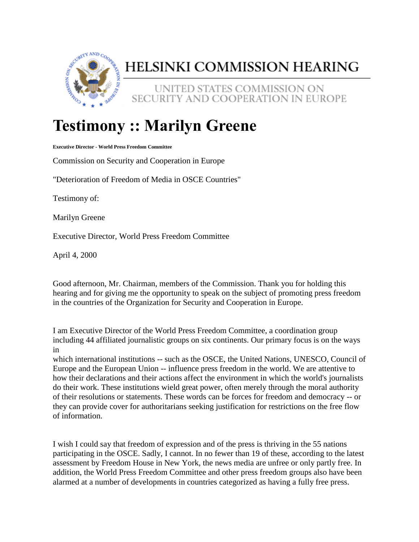

## HELSINKI COMMISSION HEARING

UNITED STATES COMMISSION ON SECURITY AND COOPERATION IN EUROPE

## **Testimony :: Marilyn Greene**

**Executive Director - World Press Freedom Committee**

Commission on Security and Cooperation in Europe

"Deterioration of Freedom of Media in OSCE Countries"

Testimony of:

Marilyn Greene

Executive Director, World Press Freedom Committee

April 4, 2000

Good afternoon, Mr. Chairman, members of the Commission. Thank you for holding this hearing and for giving me the opportunity to speak on the subject of promoting press freedom in the countries of the Organization for Security and Cooperation in Europe.

I am Executive Director of the World Press Freedom Committee, a coordination group including 44 affiliated journalistic groups on six continents. Our primary focus is on the ways in

which international institutions -- such as the OSCE, the United Nations, UNESCO, Council of Europe and the European Union -- influence press freedom in the world. We are attentive to how their declarations and their actions affect the environment in which the world's journalists do their work. These institutions wield great power, often merely through the moral authority of their resolutions or statements. These words can be forces for freedom and democracy -- or they can provide cover for authoritarians seeking justification for restrictions on the free flow of information.

I wish I could say that freedom of expression and of the press is thriving in the 55 nations participating in the OSCE. Sadly, I cannot. In no fewer than 19 of these, according to the latest assessment by Freedom House in New York, the news media are unfree or only partly free. In addition, the World Press Freedom Committee and other press freedom groups also have been alarmed at a number of developments in countries categorized as having a fully free press.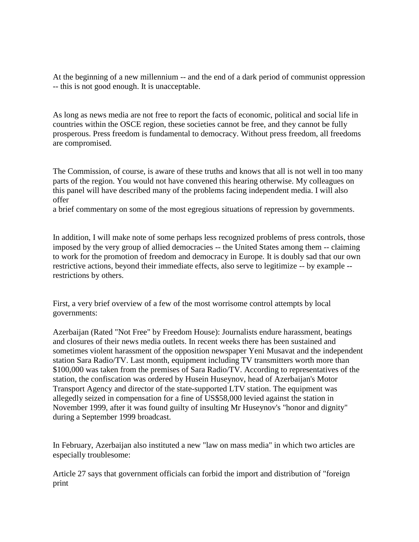At the beginning of a new millennium -- and the end of a dark period of communist oppression -- this is not good enough. It is unacceptable.

As long as news media are not free to report the facts of economic, political and social life in countries within the OSCE region, these societies cannot be free, and they cannot be fully prosperous. Press freedom is fundamental to democracy. Without press freedom, all freedoms are compromised.

The Commission, of course, is aware of these truths and knows that all is not well in too many parts of the region. You would not have convened this hearing otherwise. My colleagues on this panel will have described many of the problems facing independent media. I will also offer

a brief commentary on some of the most egregious situations of repression by governments.

In addition, I will make note of some perhaps less recognized problems of press controls, those imposed by the very group of allied democracies -- the United States among them -- claiming to work for the promotion of freedom and democracy in Europe. It is doubly sad that our own restrictive actions, beyond their immediate effects, also serve to legitimize -- by example - restrictions by others.

First, a very brief overview of a few of the most worrisome control attempts by local governments:

Azerbaijan (Rated "Not Free" by Freedom House): Journalists endure harassment, beatings and closures of their news media outlets. In recent weeks there has been sustained and sometimes violent harassment of the opposition newspaper Yeni Musavat and the independent station Sara Radio/TV. Last month, equipment including TV transmitters worth more than \$100,000 was taken from the premises of Sara Radio/TV. According to representatives of the station, the confiscation was ordered by Husein Huseynov, head of Azerbaijan's Motor Transport Agency and director of the state-supported LTV station. The equipment was allegedly seized in compensation for a fine of US\$58,000 levied against the station in November 1999, after it was found guilty of insulting Mr Huseynov's "honor and dignity" during a September 1999 broadcast.

In February, Azerbaijan also instituted a new "law on mass media" in which two articles are especially troublesome:

Article 27 says that government officials can forbid the import and distribution of "foreign print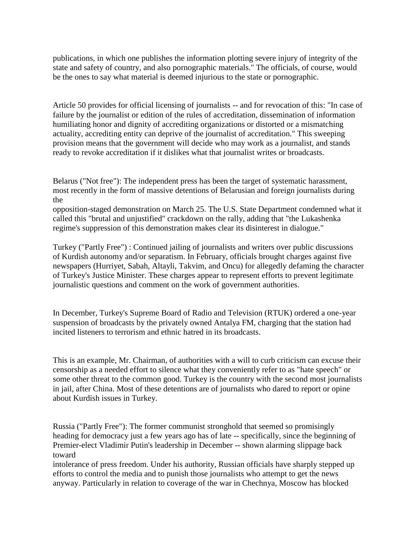publications, in which one publishes the information plotting severe injury of integrity of the state and safety of country, and also pornographic materials." The officials, of course, would be the ones to say what material is deemed injurious to the state or pornographic.

Article 50 provides for official licensing of journalists -- and for revocation of this: "In case of failure by the journalist or edition of the rules of accreditation, dissemination of information humiliating honor and dignity of accrediting organizations or distorted or a mismatching actuality, accrediting entity can deprive of the journalist of accreditation." This sweeping provision means that the government will decide who may work as a journalist, and stands ready to revoke accreditation if it dislikes what that journalist writes or broadcasts.

Belarus ("Not free"): The independent press has been the target of systematic harassment, most recently in the form of massive detentions of Belarusian and foreign journalists during the

opposition-staged demonstration on March 25. The U.S. State Department condemned what it called this "brutal and unjustified" crackdown on the rally, adding that "the Lukashenka regime's suppression of this demonstration makes clear its disinterest in dialogue."

Turkey ("Partly Free") : Continued jailing of journalists and writers over public discussions of Kurdish autonomy and/or separatism. In February, officials brought charges against five newspapers (Hurriyet, Sabah, Altayli, Takvim, and Oncu) for allegedly defaming the character of Turkey's Justice Minister. These charges appear to represent efforts to prevent legitimate journalistic questions and comment on the work of government authorities.

In December, Turkey's Supreme Board of Radio and Television (RTUK) ordered a one-year suspension of broadcasts by the privately owned Antalya FM, charging that the station had incited listeners to terrorism and ethnic hatred in its broadcasts.

This is an example, Mr. Chairman, of authorities with a will to curb criticism can excuse their censorship as a needed effort to silence what they conveniently refer to as "hate speech" or some other threat to the common good. Turkey is the country with the second most journalists in jail, after China. Most of these detentions are of journalists who dared to report or opine about Kurdish issues in Turkey.

Russia ("Partly Free"): The former communist stronghold that seemed so promisingly heading for democracy just a few years ago has of late -- specifically, since the beginning of Premier-elect Vladimir Putin's leadership in December -- shown alarming slippage back toward

intolerance of press freedom. Under his authority, Russian officials have sharply stepped up efforts to control the media and to punish those journalists who attempt to get the news anyway. Particularly in relation to coverage of the war in Chechnya, Moscow has blocked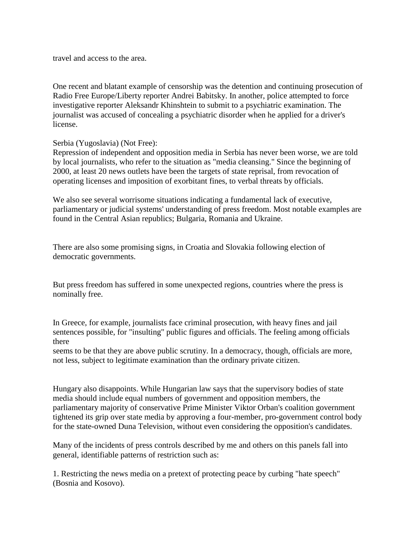travel and access to the area.

One recent and blatant example of censorship was the detention and continuing prosecution of Radio Free Europe/Liberty reporter Andrei Babitsky. In another, police attempted to force investigative reporter Aleksandr Khinshtein to submit to a psychiatric examination. The journalist was accused of concealing a psychiatric disorder when he applied for a driver's license.

Serbia (Yugoslavia) (Not Free):

Repression of independent and opposition media in Serbia has never been worse, we are told by local journalists, who refer to the situation as "media cleansing." Since the beginning of 2000, at least 20 news outlets have been the targets of state reprisal, from revocation of operating licenses and imposition of exorbitant fines, to verbal threats by officials.

We also see several worrisome situations indicating a fundamental lack of executive, parliamentary or judicial systems' understanding of press freedom. Most notable examples are found in the Central Asian republics; Bulgaria, Romania and Ukraine.

There are also some promising signs, in Croatia and Slovakia following election of democratic governments.

But press freedom has suffered in some unexpected regions, countries where the press is nominally free.

In Greece, for example, journalists face criminal prosecution, with heavy fines and jail sentences possible, for "insulting" public figures and officials. The feeling among officials there

seems to be that they are above public scrutiny. In a democracy, though, officials are more, not less, subject to legitimate examination than the ordinary private citizen.

Hungary also disappoints. While Hungarian law says that the supervisory bodies of state media should include equal numbers of government and opposition members, the parliamentary majority of conservative Prime Minister Viktor Orban's coalition government tightened its grip over state media by approving a four-member, pro-government control body for the state-owned Duna Television, without even considering the opposition's candidates.

Many of the incidents of press controls described by me and others on this panels fall into general, identifiable patterns of restriction such as:

1. Restricting the news media on a pretext of protecting peace by curbing "hate speech" (Bosnia and Kosovo).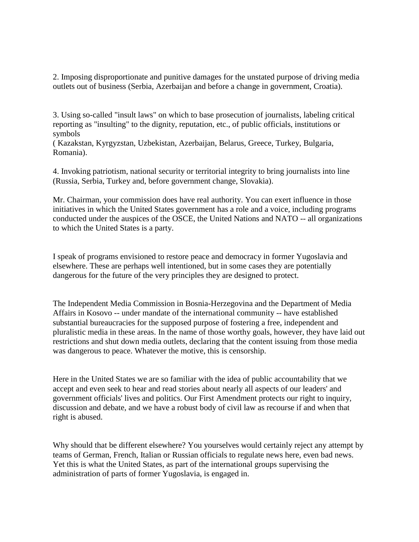2. Imposing disproportionate and punitive damages for the unstated purpose of driving media outlets out of business (Serbia, Azerbaijan and before a change in government, Croatia).

3. Using so-called "insult laws" on which to base prosecution of journalists, labeling critical reporting as "insulting" to the dignity, reputation, etc., of public officials, institutions or symbols

( Kazakstan, Kyrgyzstan, Uzbekistan, Azerbaijan, Belarus, Greece, Turkey, Bulgaria, Romania).

4. Invoking patriotism, national security or territorial integrity to bring journalists into line (Russia, Serbia, Turkey and, before government change, Slovakia).

Mr. Chairman, your commission does have real authority. You can exert influence in those initiatives in which the United States government has a role and a voice, including programs conducted under the auspices of the OSCE, the United Nations and NATO -- all organizations to which the United States is a party.

I speak of programs envisioned to restore peace and democracy in former Yugoslavia and elsewhere. These are perhaps well intentioned, but in some cases they are potentially dangerous for the future of the very principles they are designed to protect.

The Independent Media Commission in Bosnia-Herzegovina and the Department of Media Affairs in Kosovo -- under mandate of the international community -- have established substantial bureaucracies for the supposed purpose of fostering a free, independent and pluralistic media in these areas. In the name of those worthy goals, however, they have laid out restrictions and shut down media outlets, declaring that the content issuing from those media was dangerous to peace. Whatever the motive, this is censorship.

Here in the United States we are so familiar with the idea of public accountability that we accept and even seek to hear and read stories about nearly all aspects of our leaders' and government officials' lives and politics. Our First Amendment protects our right to inquiry, discussion and debate, and we have a robust body of civil law as recourse if and when that right is abused.

Why should that be different elsewhere? You yourselves would certainly reject any attempt by teams of German, French, Italian or Russian officials to regulate news here, even bad news. Yet this is what the United States, as part of the international groups supervising the administration of parts of former Yugoslavia, is engaged in.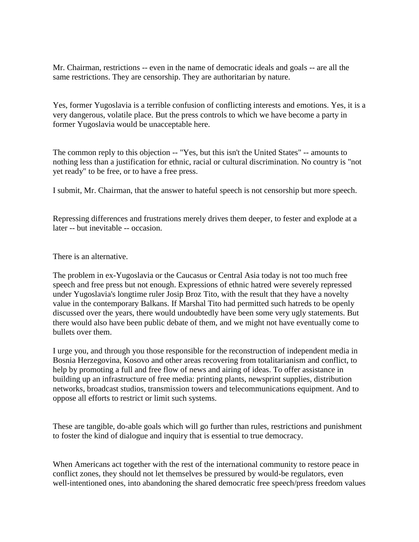Mr. Chairman, restrictions -- even in the name of democratic ideals and goals -- are all the same restrictions. They are censorship. They are authoritarian by nature.

Yes, former Yugoslavia is a terrible confusion of conflicting interests and emotions. Yes, it is a very dangerous, volatile place. But the press controls to which we have become a party in former Yugoslavia would be unacceptable here.

The common reply to this objection -- "Yes, but this isn't the United States" -- amounts to nothing less than a justification for ethnic, racial or cultural discrimination. No country is "not yet ready" to be free, or to have a free press.

I submit, Mr. Chairman, that the answer to hateful speech is not censorship but more speech.

Repressing differences and frustrations merely drives them deeper, to fester and explode at a later -- but inevitable -- occasion.

There is an alternative.

The problem in ex-Yugoslavia or the Caucasus or Central Asia today is not too much free speech and free press but not enough. Expressions of ethnic hatred were severely repressed under Yugoslavia's longtime ruler Josip Broz Tito, with the result that they have a novelty value in the contemporary Balkans. If Marshal Tito had permitted such hatreds to be openly discussed over the years, there would undoubtedly have been some very ugly statements. But there would also have been public debate of them, and we might not have eventually come to bullets over them.

I urge you, and through you those responsible for the reconstruction of independent media in Bosnia Herzegovina, Kosovo and other areas recovering from totalitarianism and conflict, to help by promoting a full and free flow of news and airing of ideas. To offer assistance in building up an infrastructure of free media: printing plants, newsprint supplies, distribution networks, broadcast studios, transmission towers and telecommunications equipment. And to oppose all efforts to restrict or limit such systems.

These are tangible, do-able goals which will go further than rules, restrictions and punishment to foster the kind of dialogue and inquiry that is essential to true democracy.

When Americans act together with the rest of the international community to restore peace in conflict zones, they should not let themselves be pressured by would-be regulators, even well-intentioned ones, into abandoning the shared democratic free speech/press freedom values